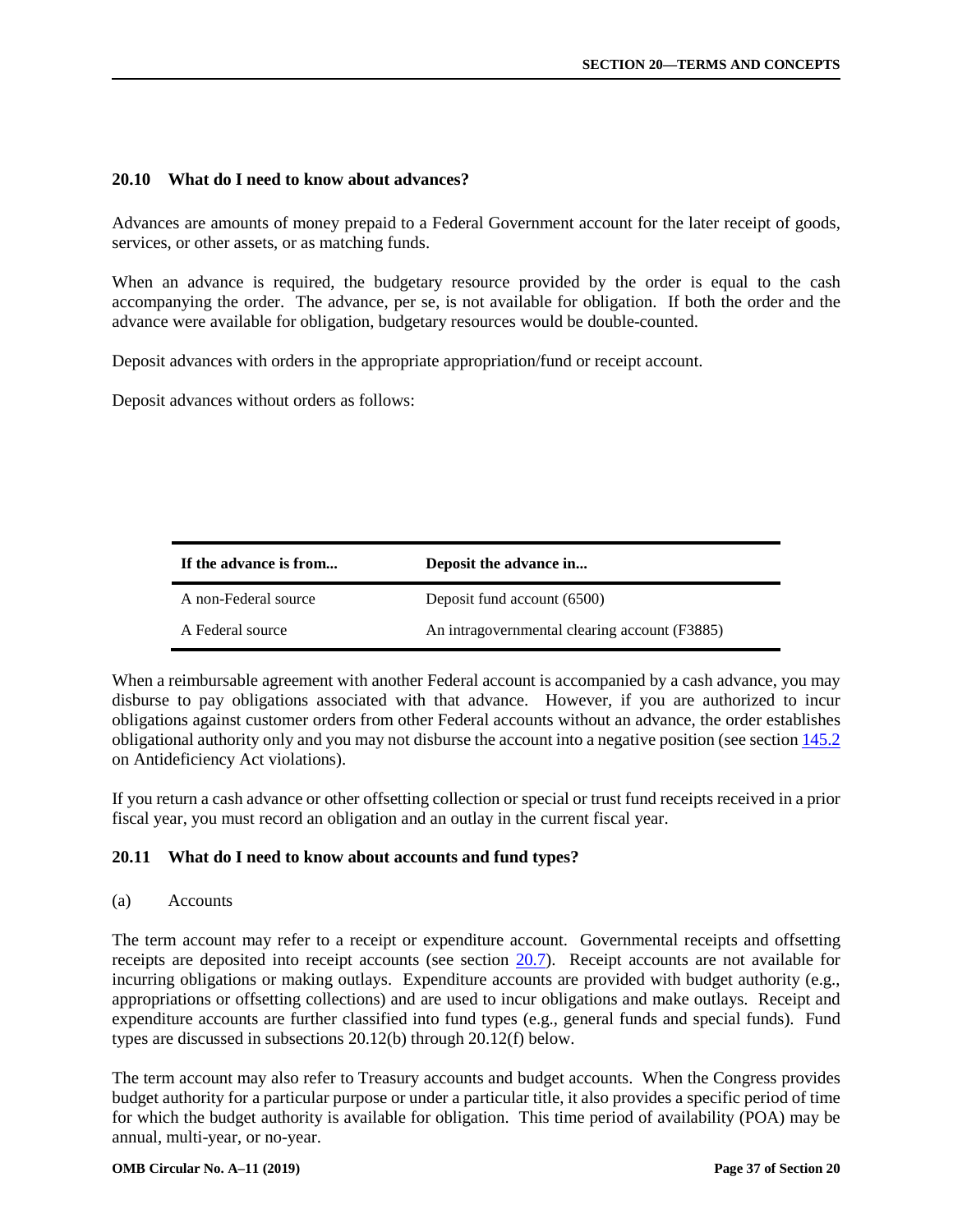# **20.10 What do I need to know about advances?**

Advances are amounts of money prepaid to a Federal Government account for the later receipt of goods, services, or other assets, or as matching funds.

When an advance is required, the budgetary resource provided by the order is equal to the cash accompanying the order. The advance, per se, is not available for obligation. If both the order and the advance were available for obligation, budgetary resources would be double-counted.

Deposit advances with orders in the appropriate appropriation/fund or receipt account.

Deposit advances without orders as follows:

| If the advance is from | Deposit the advance in                        |
|------------------------|-----------------------------------------------|
| A non-Federal source   | Deposit fund account (6500)                   |
| A Federal source       | An intragovernmental clearing account (F3885) |

When a reimbursable agreement with another Federal account is accompanied by a cash advance, you may disburse to pay obligations associated with that advance. However, if you are authorized to incur obligations against customer orders from other Federal accounts without an advance, the order establishes obligational authority only and you may not disburse the account into a negative position (see section 145.2 on Antideficiency Act violations).

If you return a cash advance or other offsetting collection or special or trust fund receipts received in a prior fiscal year, you must record an obligation and an outlay in the current fiscal year.

# **20.11 What do I need to know about accounts and fund types?**

(a) Accounts

The term account may refer to a receipt or expenditure account. Governmental receipts and offsetting receipts are deposited into receipt accounts (see section 20.7). Receipt accounts are not available for incurring obligations or making outlays. Expenditure accounts are provided with budget authority (e.g., appropriations or offsetting collections) and are used to incur obligations and make outlays. Receipt and expenditure accounts are further classified into fund types (e.g., general funds and special funds). Fund types are discussed in subsections 20.12(b) through 20.12(f) below.

The term account may also refer to Treasury accounts and budget accounts. When the Congress provides budget authority for a particular purpose or under a particular title, it also provides a specific period of time for which the budget authority is available for obligation. This time period of availability (POA) may be annual, multi-year, or no-year.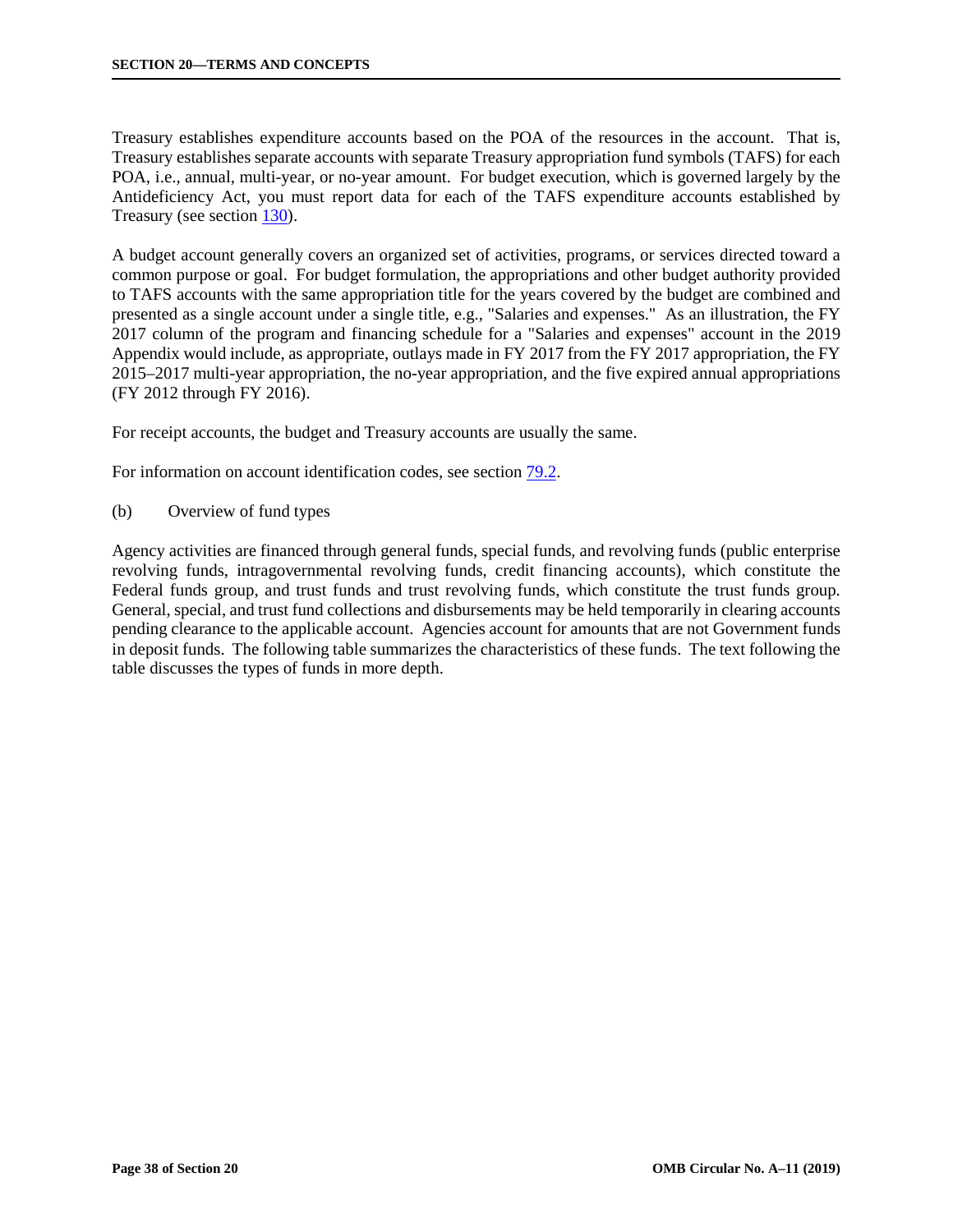Treasury establishes expenditure accounts based on the POA of the resources in the account. That is, Treasury establishes separate accounts with separate Treasury appropriation fund symbols (TAFS) for each POA, i.e., annual, multi-year, or no-year amount. For budget execution, which is governed largely by the Antideficiency Act, you must report data for each of the TAFS expenditure accounts established by Treasury (see section 130).

A budget account generally covers an organized set of activities, programs, or services directed toward a common purpose or goal. For budget formulation, the appropriations and other budget authority provided to TAFS accounts with the same appropriation title for the years covered by the budget are combined and presented as a single account under a single title, e.g., "Salaries and expenses." As an illustration, the FY 2017 column of the program and financing schedule for a "Salaries and expenses" account in the 2019 Appendix would include, as appropriate, outlays made in FY 2017 from the FY 2017 appropriation, the FY 2015–2017 multi-year appropriation, the no-year appropriation, and the five expired annual appropriations (FY 2012 through FY 2016).

For receipt accounts, the budget and Treasury accounts are usually the same.

For information on account identification codes, see section 79.2.

(b) Overview of fund types

Agency activities are financed through general funds, special funds, and revolving funds (public enterprise revolving funds, intragovernmental revolving funds, credit financing accounts), which constitute the Federal funds group, and trust funds and trust revolving funds, which constitute the trust funds group. General, special, and trust fund collections and disbursements may be held temporarily in clearing accounts pending clearance to the applicable account. Agencies account for amounts that are not Government funds in deposit funds. The following table summarizes the characteristics of these funds. The text following the table discusses the types of funds in more depth.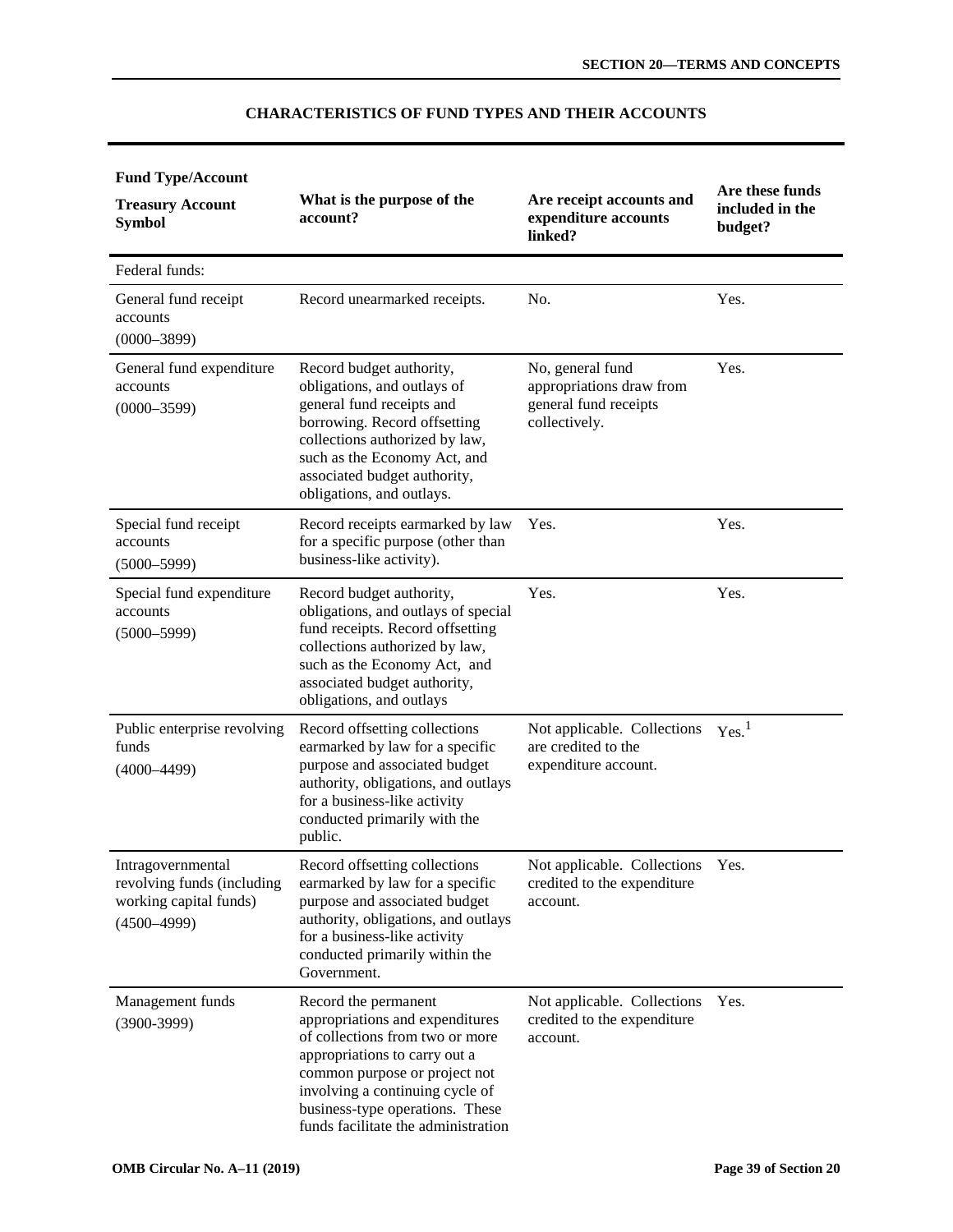| <b>Fund Type/Account</b>                                                                     |                                                                                                                                                                                                                                                                           |                                                                                        |                                               |
|----------------------------------------------------------------------------------------------|---------------------------------------------------------------------------------------------------------------------------------------------------------------------------------------------------------------------------------------------------------------------------|----------------------------------------------------------------------------------------|-----------------------------------------------|
| <b>Treasury Account</b><br><b>Symbol</b>                                                     | What is the purpose of the<br>account?                                                                                                                                                                                                                                    | Are receipt accounts and<br>expenditure accounts<br>linked?                            | Are these funds<br>included in the<br>budget? |
| Federal funds:                                                                               |                                                                                                                                                                                                                                                                           |                                                                                        |                                               |
| General fund receipt<br>accounts<br>$(0000 - 3899)$                                          | Record unearmarked receipts.                                                                                                                                                                                                                                              | No.                                                                                    | Yes.                                          |
| General fund expenditure<br>accounts<br>$(0000 - 3599)$                                      | Record budget authority,<br>obligations, and outlays of<br>general fund receipts and<br>borrowing. Record offsetting<br>collections authorized by law,<br>such as the Economy Act, and<br>associated budget authority,<br>obligations, and outlays.                       | No, general fund<br>appropriations draw from<br>general fund receipts<br>collectively. | Yes.                                          |
| Special fund receipt<br>accounts<br>$(5000 - 5999)$                                          | Record receipts earmarked by law<br>for a specific purpose (other than<br>business-like activity).                                                                                                                                                                        | Yes.                                                                                   | Yes.                                          |
| Special fund expenditure<br>accounts<br>$(5000 - 5999)$                                      | Record budget authority,<br>obligations, and outlays of special<br>fund receipts. Record offsetting<br>collections authorized by law,<br>such as the Economy Act, and<br>associated budget authority,<br>obligations, and outlays                                         | Yes.                                                                                   | Yes.                                          |
| Public enterprise revolving<br>funds<br>$(4000 - 4499)$                                      | Record offsetting collections<br>earmarked by law for a specific<br>purpose and associated budget<br>authority, obligations, and outlays<br>for a business-like activity<br>conducted primarily with the<br>public.                                                       | Not applicable. Collections<br>are credited to the<br>expenditure account.             | Yes. <sup>1</sup>                             |
| Intragovernmental<br>revolving funds (including<br>working capital funds)<br>$(4500 - 4999)$ | Record offsetting collections<br>earmarked by law for a specific<br>purpose and associated budget<br>authority, obligations, and outlays<br>for a business-like activity<br>conducted primarily within the<br>Government.                                                 | Not applicable. Collections Yes.<br>credited to the expenditure<br>account.            |                                               |
| Management funds<br>$(3900-3999)$                                                            | Record the permanent<br>appropriations and expenditures<br>of collections from two or more<br>appropriations to carry out a<br>common purpose or project not<br>involving a continuing cycle of<br>business-type operations. These<br>funds facilitate the administration | Not applicable. Collections<br>credited to the expenditure<br>account.                 | Yes.                                          |

# **CHARACTERISTICS OF FUND TYPES AND THEIR ACCOUNTS**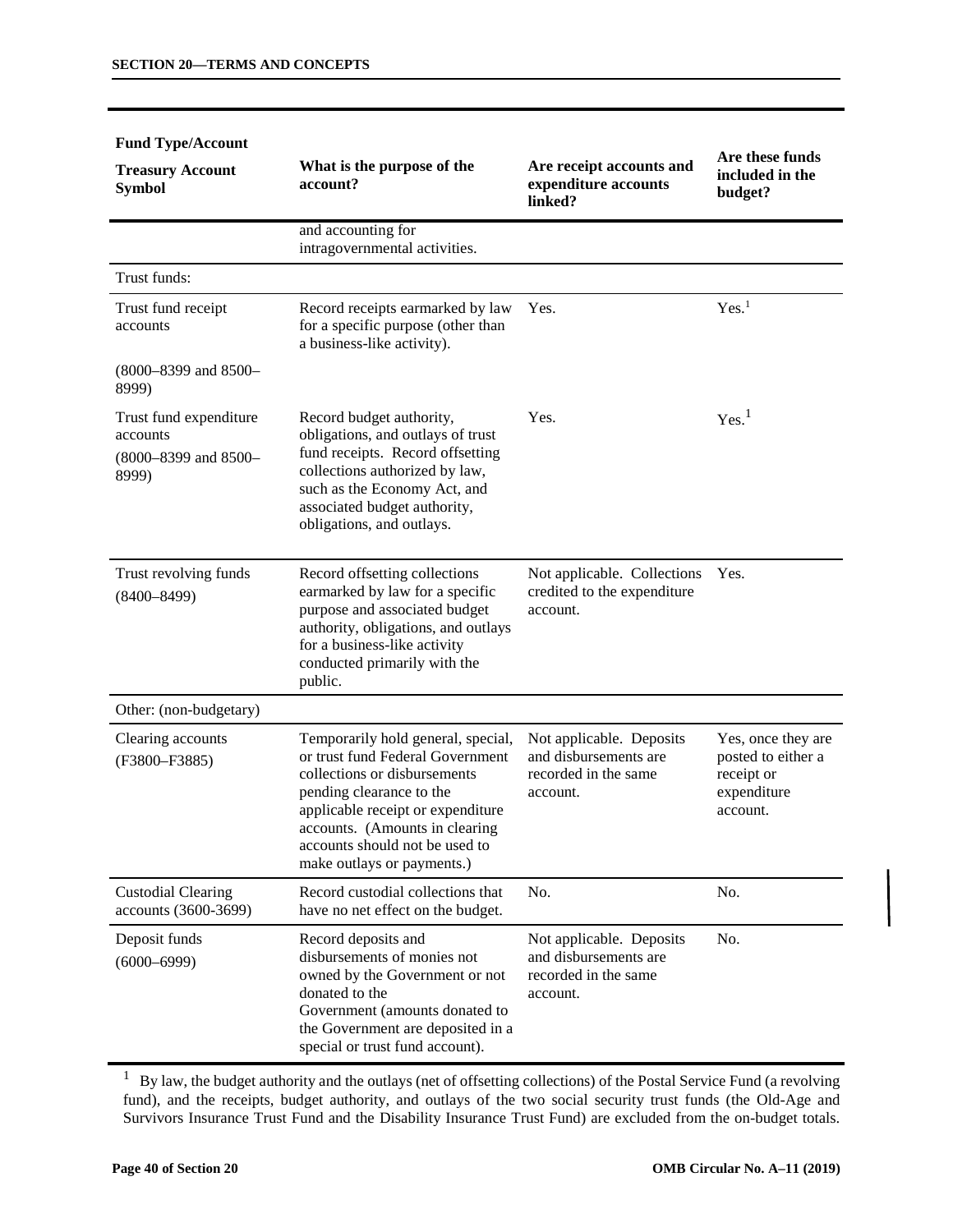| гина туралионн<br><b>Treasury Account</b><br><b>Symbol</b>               | What is the purpose of the<br>account?                                                                                                                                                                                                                                    | Are receipt accounts and<br>expenditure accounts<br>linked?                           | Are these funds<br>included in the<br>budget?                                     |
|--------------------------------------------------------------------------|---------------------------------------------------------------------------------------------------------------------------------------------------------------------------------------------------------------------------------------------------------------------------|---------------------------------------------------------------------------------------|-----------------------------------------------------------------------------------|
|                                                                          | and accounting for<br>intragovernmental activities.                                                                                                                                                                                                                       |                                                                                       |                                                                                   |
| Trust funds:                                                             |                                                                                                                                                                                                                                                                           |                                                                                       |                                                                                   |
| Trust fund receipt<br>accounts                                           | Record receipts earmarked by law<br>for a specific purpose (other than<br>a business-like activity).                                                                                                                                                                      | Yes.                                                                                  | Yes. <sup>1</sup>                                                                 |
| (8000-8399 and 8500-<br>8999)                                            |                                                                                                                                                                                                                                                                           |                                                                                       |                                                                                   |
| Trust fund expenditure<br>accounts<br>$(8000 - 8399)$ and 8500-<br>8999) | Record budget authority,<br>obligations, and outlays of trust<br>fund receipts. Record offsetting<br>collections authorized by law,<br>such as the Economy Act, and<br>associated budget authority,<br>obligations, and outlays.                                          | Yes.                                                                                  | Yes. <sup>1</sup>                                                                 |
| Trust revolving funds<br>$(8400 - 8499)$                                 | Record offsetting collections<br>earmarked by law for a specific<br>purpose and associated budget<br>authority, obligations, and outlays<br>for a business-like activity<br>conducted primarily with the<br>public.                                                       | Not applicable. Collections<br>credited to the expenditure<br>account.                | Yes.                                                                              |
| Other: (non-budgetary)                                                   |                                                                                                                                                                                                                                                                           |                                                                                       |                                                                                   |
| Clearing accounts<br>(F3800-F3885)                                       | Temporarily hold general, special,<br>or trust fund Federal Government<br>collections or disbursements<br>pending clearance to the<br>applicable receipt or expenditure<br>accounts. (Amounts in clearing<br>accounts should not be used to<br>make outlays or payments.) | Not applicable. Deposits<br>and disbursements are<br>recorded in the same<br>account. | Yes, once they are<br>posted to either a<br>receipt or<br>expenditure<br>account. |
| <b>Custodial Clearing</b><br>accounts (3600-3699)                        | Record custodial collections that<br>have no net effect on the budget.                                                                                                                                                                                                    | No.                                                                                   | No.                                                                               |
| Deposit funds<br>$(6000 - 6999)$                                         | Record deposits and<br>disbursements of monies not<br>owned by the Government or not<br>donated to the<br>Government (amounts donated to<br>the Government are deposited in a<br>special or trust fund account).                                                          | Not applicable. Deposits<br>and disbursements are<br>recorded in the same<br>account. | No.                                                                               |

#### **Fund Type/Account**

 $1$  By law, the budget authority and the outlays (net of offsetting collections) of the Postal Service Fund (a revolving fund), and the receipts, budget authority, and outlays of the two social security trust funds (the Old-Age and Survivors Insurance Trust Fund and the Disability Insurance Trust Fund) are excluded from the on-budget totals.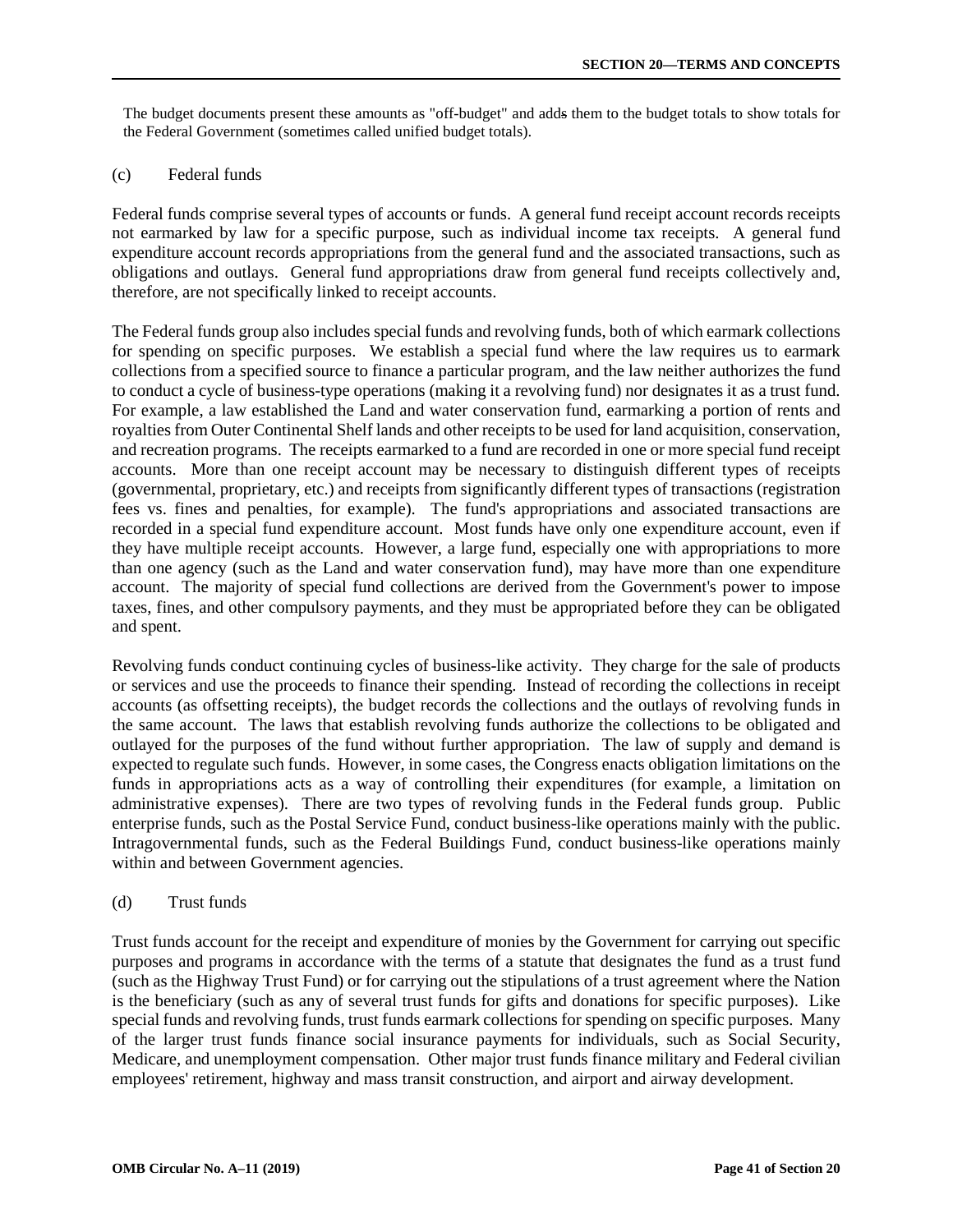The budget documents present these amounts as "off-budget" and adds them to the budget totals to show totals for the Federal Government (sometimes called unified budget totals).

# (c) Federal funds

Federal funds comprise several types of accounts or funds. A general fund receipt account records receipts not earmarked by law for a specific purpose, such as individual income tax receipts. A general fund expenditure account records appropriations from the general fund and the associated transactions, such as obligations and outlays. General fund appropriations draw from general fund receipts collectively and, therefore, are not specifically linked to receipt accounts.

The Federal funds group also includes special funds and revolving funds, both of which earmark collections for spending on specific purposes. We establish a special fund where the law requires us to earmark collections from a specified source to finance a particular program, and the law neither authorizes the fund to conduct a cycle of business-type operations (making it a revolving fund) nor designates it as a trust fund. For example, a law established the Land and water conservation fund, earmarking a portion of rents and royalties from Outer Continental Shelf lands and other receipts to be used for land acquisition, conservation, and recreation programs. The receipts earmarked to a fund are recorded in one or more special fund receipt accounts. More than one receipt account may be necessary to distinguish different types of receipts (governmental, proprietary, etc.) and receipts from significantly different types of transactions (registration fees vs. fines and penalties, for example). The fund's appropriations and associated transactions are recorded in a special fund expenditure account. Most funds have only one expenditure account, even if they have multiple receipt accounts. However, a large fund, especially one with appropriations to more than one agency (such as the Land and water conservation fund), may have more than one expenditure account. The majority of special fund collections are derived from the Government's power to impose taxes, fines, and other compulsory payments, and they must be appropriated before they can be obligated and spent.

Revolving funds conduct continuing cycles of business-like activity. They charge for the sale of products or services and use the proceeds to finance their spending. Instead of recording the collections in receipt accounts (as offsetting receipts), the budget records the collections and the outlays of revolving funds in the same account. The laws that establish revolving funds authorize the collections to be obligated and outlayed for the purposes of the fund without further appropriation. The law of supply and demand is expected to regulate such funds. However, in some cases, the Congress enacts obligation limitations on the funds in appropriations acts as a way of controlling their expenditures (for example, a limitation on administrative expenses). There are two types of revolving funds in the Federal funds group. Public enterprise funds, such as the Postal Service Fund, conduct business-like operations mainly with the public. Intragovernmental funds, such as the Federal Buildings Fund, conduct business-like operations mainly within and between Government agencies.

# (d) Trust funds

Trust funds account for the receipt and expenditure of monies by the Government for carrying out specific purposes and programs in accordance with the terms of a statute that designates the fund as a trust fund (such as the Highway Trust Fund) or for carrying out the stipulations of a trust agreement where the Nation is the beneficiary (such as any of several trust funds for gifts and donations for specific purposes). Like special funds and revolving funds, trust funds earmark collections for spending on specific purposes. Many of the larger trust funds finance social insurance payments for individuals, such as Social Security, Medicare, and unemployment compensation. Other major trust funds finance military and Federal civilian employees' retirement, highway and mass transit construction, and airport and airway development.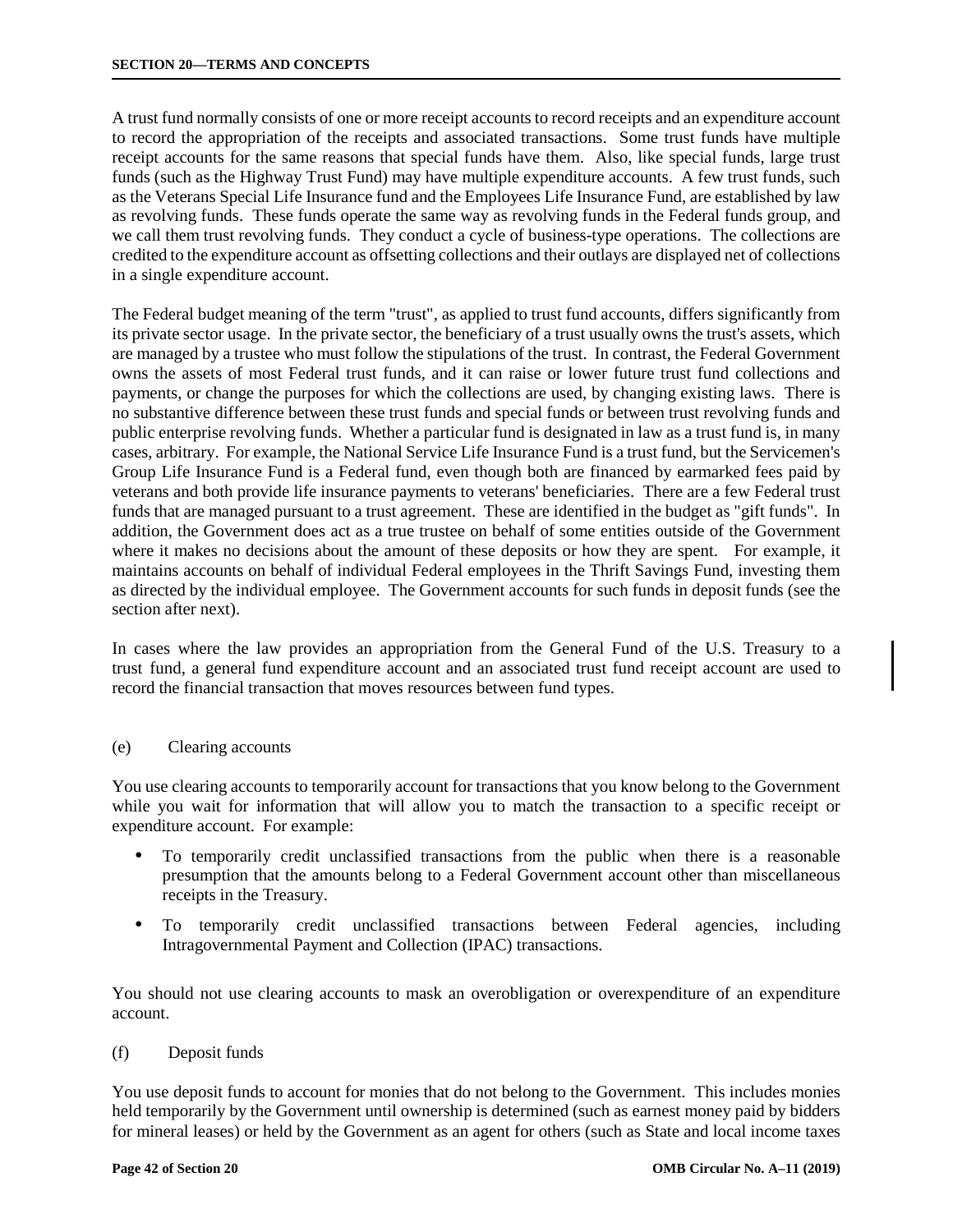A trust fund normally consists of one or more receipt accounts to record receipts and an expenditure account to record the appropriation of the receipts and associated transactions. Some trust funds have multiple receipt accounts for the same reasons that special funds have them. Also, like special funds, large trust funds (such as the Highway Trust Fund) may have multiple expenditure accounts. A few trust funds, such as the Veterans Special Life Insurance fund and the Employees Life Insurance Fund, are established by law as revolving funds. These funds operate the same way as revolving funds in the Federal funds group, and we call them trust revolving funds. They conduct a cycle of business-type operations. The collections are credited to the expenditure account as offsetting collections and their outlays are displayed net of collections in a single expenditure account.

The Federal budget meaning of the term "trust", as applied to trust fund accounts, differs significantly from its private sector usage. In the private sector, the beneficiary of a trust usually owns the trust's assets, which are managed by a trustee who must follow the stipulations of the trust. In contrast, the Federal Government owns the assets of most Federal trust funds, and it can raise or lower future trust fund collections and payments, or change the purposes for which the collections are used, by changing existing laws. There is no substantive difference between these trust funds and special funds or between trust revolving funds and public enterprise revolving funds. Whether a particular fund is designated in law as a trust fund is, in many cases, arbitrary. For example, the National Service Life Insurance Fund is a trust fund, but the Servicemen's Group Life Insurance Fund is a Federal fund, even though both are financed by earmarked fees paid by veterans and both provide life insurance payments to veterans' beneficiaries. There are a few Federal trust funds that are managed pursuant to a trust agreement. These are identified in the budget as "gift funds". In addition, the Government does act as a true trustee on behalf of some entities outside of the Government where it makes no decisions about the amount of these deposits or how they are spent. For example, it maintains accounts on behalf of individual Federal employees in the Thrift Savings Fund, investing them as directed by the individual employee. The Government accounts for such funds in deposit funds (see the section after next).

In cases where the law provides an appropriation from the General Fund of the U.S. Treasury to a trust fund, a general fund expenditure account and an associated trust fund receipt account are used to record the financial transaction that moves resources between fund types.

# (e) Clearing accounts

You use clearing accounts to temporarily account for transactions that you know belong to the Government while you wait for information that will allow you to match the transaction to a specific receipt or expenditure account. For example:

- To temporarily credit unclassified transactions from the public when there is a reasonable presumption that the amounts belong to a Federal Government account other than miscellaneous receipts in the Treasury.
- To temporarily credit unclassified transactions between Federal agencies, including Intragovernmental Payment and Collection (IPAC) transactions.

You should not use clearing accounts to mask an overobligation or overexpenditure of an expenditure account.

# (f) Deposit funds

You use deposit funds to account for monies that do not belong to the Government. This includes monies held temporarily by the Government until ownership is determined (such as earnest money paid by bidders for mineral leases) or held by the Government as an agent for others (such as State and local income taxes